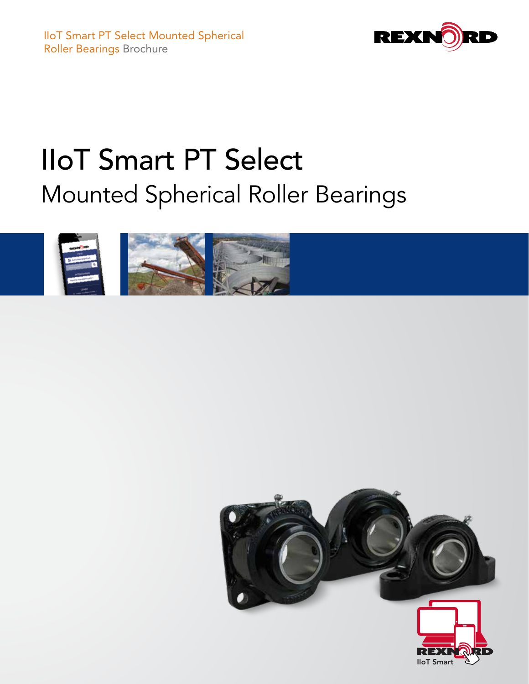

# IIoT Smart PT Select Mounted Spherical Roller Bearings



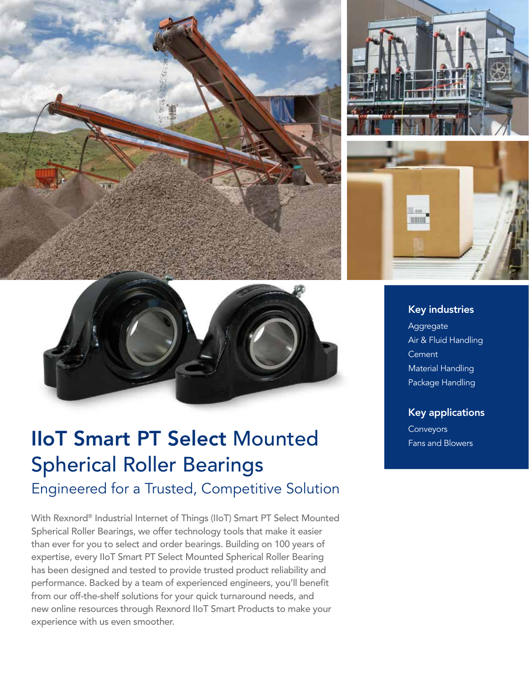



## **IIoT Smart PT Select Mounted** *Conveyors* **Exas and Blowers** Spherical Roller Bearings Engineered for a Trusted, Competitive Solution

With Rexnord® Industrial Internet of Things (IIoT) Smart PT Select Mounted Spherical Roller Bearings, we offer technology tools that make it easier than ever for you to select and order bearings. Building on 100 years of expertise, every IIoT Smart PT Select Mounted Spherical Roller Bearing has been designed and tested to provide trusted product reliability and performance. Backed by a team of experienced engineers, you'll benefit from our off-the-shelf solutions for your quick turnaround needs, and new online resources through Rexnord IIoT Smart Products to make your experience with us even smoother.



#### Key industries

Aggregate Air & Fluid Handling **Cement** Material Handling Package Handling

#### Key applications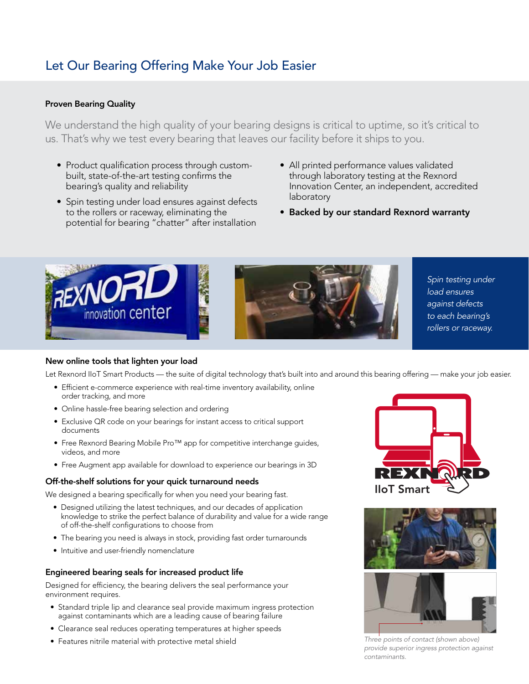### Let Our Bearing Offering Make Your Job Easier

#### Proven Bearing Quality

We understand the high quality of your bearing designs is critical to uptime, so it's critical to us. That's why we test every bearing that leaves our facility before it ships to you.

- Product qualification process through custombuilt, state-of-the-art testing confirms the bearing's quality and reliability
- Spin testing under load ensures against defects to the rollers or raceway, eliminating the potential for bearing "chatter" after installation
- All printed performance values validated through laboratory testing at the Rexnord Innovation Center, an independent, accredited laboratory
- Backed by our standard Rexnord warranty





*Spin testing under load ensures against defects to each bearing's rollers or raceway.*

#### New online tools that lighten your load

Let Rexnord IIoT Smart Products — the suite of digital technology that's built into and around this bearing offering — make your job easier.

- Efficient e-commerce experience with real-time inventory availability, online order tracking, and more
- Online hassle-free bearing selection and ordering
- Exclusive QR code on your bearings for instant access to critical support documents
- Free Rexnord Bearing Mobile Pro™ app for competitive interchange guides, videos, and more
- Free Augment app available for download to experience our bearings in 3D

#### Off-the-shelf solutions for your quick turnaround needs

We designed a bearing specifically for when you need your bearing fast.

- Designed utilizing the latest techniques, and our decades of application knowledge to strike the perfect balance of durability and value for a wide range of off-the-shelf configurations to choose from
- The bearing you need is always in stock, providing fast order turnarounds
- Intuitive and user-friendly nomenclature

#### Engineered bearing seals for increased product life

Designed for efficiency, the bearing delivers the seal performance your environment requires.

- Standard triple lip and clearance seal provide maximum ingress protection against contaminants which are a leading cause of bearing failure
- Clearance seal reduces operating temperatures at higher speeds
- Features nitrile material with protective metal shield







*Three points of contact (shown above) provide superior ingress protection against contaminants.*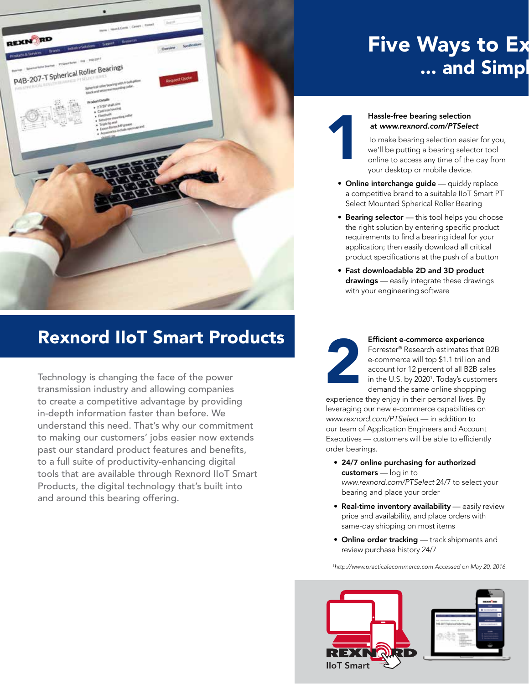

## Rexnord IIoT Smart Products

Technology is changing the face of the power transmission industry and allowing companies to create a competitive advantage by providing in-depth information faster than before. We understand this need. That's why our commitment to making our customers' jobs easier now extends past our standard product features and benefits, to a full suite of productivity-enhancing digital tools that are available through Rexnord IIoT Smart Products, the digital technology that's built into and around this bearing offering.

## Five Ways to Ex ... and Simpl

#### Hassle-free bearing selection at *[www.rexnord.com/PTSelect](http://www.rexnord.com/PTSelect?brochure)*

To make bearing selection easier for you, we'll be putting a bearing selector tool online to access any time of the day from your desktop or mobile device.

- Online interchange guide quickly replace a competitive brand to a suitable IIoT Smart PT Select Mounted Spherical Roller Bearing
- Bearing selector this tool helps you choose the right solution by entering specific product requirements to find a bearing ideal for your application; then easily download all critical product specifications at the push of a button
- Fast downloadable 2D and 3D product drawings — easily integrate these drawings with your engineering software



1

#### Efficient e-commerce experience

Forrester® Research estimates that B2B e-commerce will top \$1.1 trillion and account for 12 percent of all B2B sales in the U.S. by 2020<sup>1</sup>. Today's customers demand the same online shopping

experience they enjoy in their personal lives. By leveraging our new e-commerce capabilities on *[www.rexnord.com/PTSelect](http://www.rexnord.com/PTSelect?brochure)* — in addition to our team of Application Engineers and Account Executives — customers will be able to efficiently order bearings.

- 24/7 online purchasing for authorized customers - log in to *[www.rexnord.com/PTSelect](http://www.rexnord.com/PTSelect?brochure)* 24/7 to select your bearing and place your order
- Real-time inventory availability easily review price and availability, and place orders with same-day shipping on most items
- Online order tracking track shipments and review purchase history 24/7

*1 http://www.practicalecommerce.com Accessed on May 20, 2016.*

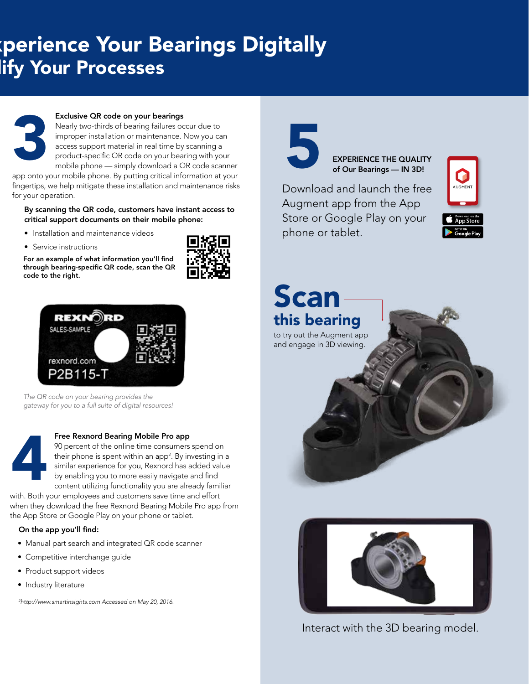## perience Your Bearings Digitally lify Your Processes



#### Exclusive QR code on your bearings

 Nearly two-thirds of bearing failures occur due to improper installation or maintenance. Now you can access support material in real time by scanning a product-specific QR code on your bearing with your mobile phone — simply download a QR code scanner

app onto your mobile phone. By putting critical information at your fingertips, we help mitigate these installation and maintenance risks for your operation.

By scanning the QR code, customers have instant access to critical support documents on their mobile phone:

- Installation and maintenance videos
- Service instructions

For an example of what information you'll find through bearing-specific QR code, scan the QR code to the right.





*The QR code on your bearing provides the gateway for you to a full suite of digital resources!*



#### Free Rexnord Bearing Mobile Pro app

 90 percent of the online time consumers spend on their phone is spent within an app<sup>2</sup>. By investing in a similar experience for you, Rexnord has added value by enabling you to more easily navigate and find content utilizing functionality you are already familiar

with. Both your employees and customers save time and effort when they download the free Rexnord Bearing Mobile Pro app from the App Store or Google Play on your phone or tablet.

#### On the app you'll find:

- Manual part search and integrated QR code scanner
- Competitive interchange guide
- Product support videos
- Industry literature

*2 http://www.smartinsights.com Accessed on May 20, 2016.*



EXPERIENCE THE QUALITY of Our Bearings — IN 3D!

Download and launch the free Augment app from the App Store or Google Play on your phone or tablet.



## Scan this bearing

to try out the Augment app and engage in 3D viewing.



Interact with the 3D bearing model.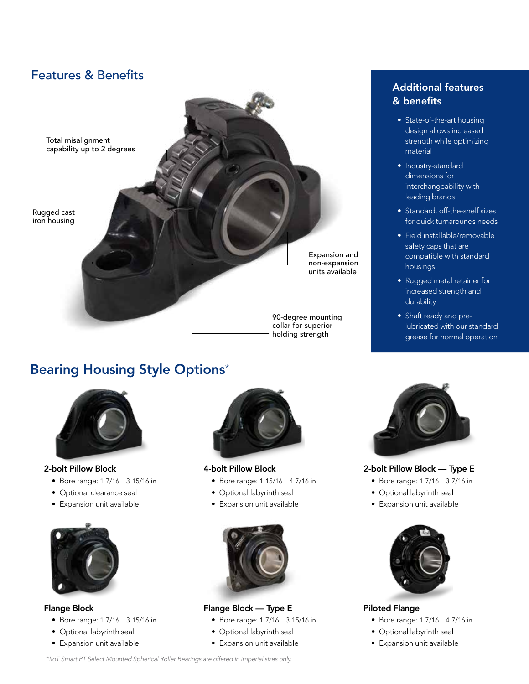

## Bearing Housing Style Options\*



#### 2-bolt Pillow Block

- Bore range: 1-7/16 3-15/16 in
- Optional clearance seal
- Expansion unit available



#### Flange Block

- Bore range: 1-7/16 3-15/16 in
- Optional labyrinth seal
- Expansion unit available



#### 4-bolt Pillow Block

- Bore range: 1-15/16 4-7/16 in
- Optional labyrinth seal
- Expansion unit available



#### Flange Block — Type E

- Bore range: 1-7/16 3-15/16 in
- Optional labyrinth seal
- Expansion unit available

### Additional features & benefits

- State-of-the-art housing design allows increased strength while optimizing material
- Industry-standard dimensions for interchangeability with leading brands
- Standard, off-the-shelf sizes for quick turnarounds needs
- Field installable/removable safety caps that are compatible with standard housings
- Rugged metal retainer for increased strength and durability
- Shaft ready and prelubricated with our standard grease for normal operation



#### 2-bolt Pillow Block — Type E

- Bore range: 1-7/16 3-7/16 in
- Optional labyrinth seal
- Expansion unit available



#### Piloted Flange

- Bore range: 1-7/16 4-7/16 in
- Optional labyrinth seal
- Expansion unit available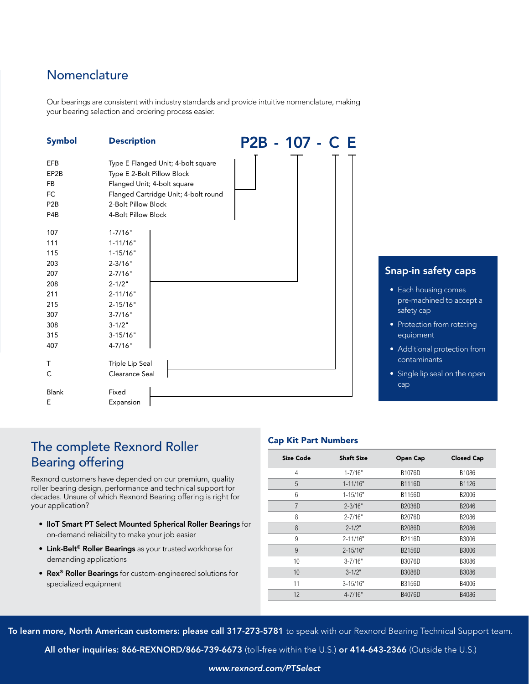### **Nomenclature**

Our bearings are consistent with industry standards and provide intuitive nomenclature, making your bearing selection and ordering process easier.

| <b>Symbol</b>                                                                    | <b>Description</b>                                                                                                                                                                    | P2B - 107 - C E |
|----------------------------------------------------------------------------------|---------------------------------------------------------------------------------------------------------------------------------------------------------------------------------------|-----------------|
| <b>EFB</b><br>EP2B<br><b>FB</b><br>FC<br>P <sub>2</sub> B<br>P4B                 | Type E Flanged Unit; 4-bolt square<br>Type E 2-Bolt Pillow Block<br>Flanged Unit; 4-bolt square<br>Flanged Cartridge Unit; 4-bolt round<br>2-Bolt Pillow Block<br>4-Bolt Pillow Block |                 |
| 107<br>111<br>115<br>203<br>207<br>208<br>211<br>215<br>307<br>308<br>315<br>407 | $1 - 7/16"$<br>$1 - 11/16"$<br>$1 - 15/16"$<br>$2 - 3/16"$<br>$2 - 7/16"$<br>$2 - 1/2"$<br>$2 - 11/16"$<br>$2 - 15/16"$<br>$3 - 7/16"$<br>$3 - 1/2"$<br>$3-15/16"$<br>$4 - 7/16"$     |                 |
| т<br>C<br><b>Blank</b><br>E                                                      | Triple Lip Seal<br>Clearance Seal<br>Fixed<br>Expansion                                                                                                                               |                 |

### Snap-in safety caps

- Each housing comes pre-machined to accept a safety cap
- Protection from rotating equipment
- Additional protection from contaminants
- Single lip seal on the open cap

### The complete Rexnord Roller Bearing offering

Rexnord customers have depended on our premium, quality roller bearing design, performance and technical support for decades. Unsure of which Rexnord Bearing offering is right for your application?

- IIoT Smart PT Select Mounted Spherical Roller Bearings for on-demand reliability to make your job easier
- **Link-Belt<sup>®</sup> Roller Bearings** as your trusted workhorse for demanding applications
- Rex® Roller Bearings for custom-engineered solutions for specialized equipment

#### Cap Kit Part Numbers

| Size Code | <b>Shaft Size</b> | Open Cap      | <b>Closed Cap</b> |
|-----------|-------------------|---------------|-------------------|
| 4         | $1 - 7/16"$       | B1076D        | B1086             |
| 5         | $1 - 11/16"$      | B1116D        | B1126             |
| 6         | $1 - 15/16"$      | B1156D        | B2006             |
| 7         | $2 - 3/16"$       | B2036D        | B2046             |
| 8         | $2 - 7/16"$       | B2076D        | B2086             |
| 8         | $2 - 1/2"$        | <b>B2086D</b> | B2086             |
| 9         | $2 - 11/16"$      | B2116D        | B3006             |
| 9         | $2 - 15/16"$      | B2156D        | B3006             |
| 10        | $3 - 7/16"$       | B3076D        | B3086             |
| 10        | $3 - 1/2"$        | B3086D        | B3086             |
| 11        | $3 - 15/16"$      | B3156D        | B4006             |
| 12        | $4 - 7/16"$       | B4076D        | B4086             |

To learn more, North American customers: please call 317-273-5781 to speak with our Rexnord Bearing Technical Support team.

All other inquiries: 866-REXNORD/866-739-6673 (toll-free within the U.S.) or 414-643-2366 (Outside the U.S.)

#### *www.rexnord.com/PTSelect*